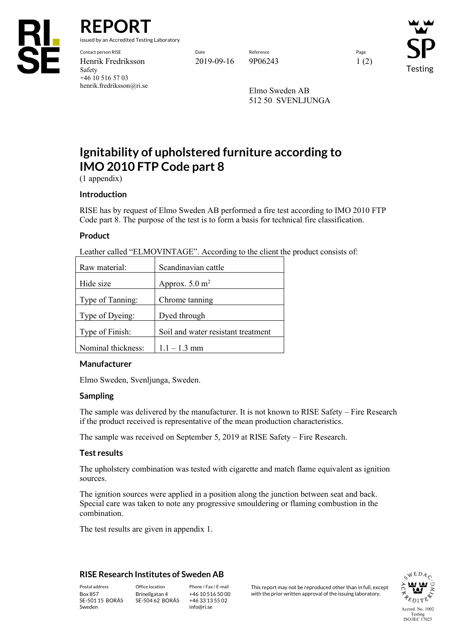

**REPORT**

issued by an Accredited Testing Laboratory

Contact person RISE Date Reference Page Henrik Fredriksson 2019-09-16 9P06243 1 (2) Safety +46 10 516 57 03 henrik.fredriksson@ri.se

Testing

Elmo Sweden AB 512 50 SVENLJUNGA

# **Ignitability of upholstered furniture according to IMO 2010 FTP Code part 8**

(1 appendix)

### **Introduction**

RISE has by request of Elmo Sweden AB performed a fire test according to IMO 2010 FTP Code part 8. The purpose of the test is to form a basis for technical fire classification.

## **Product**

Leather called "ELMOVINTAGE". According to the client the product consists of:

| Raw material:      | Scandinavian cattle                |
|--------------------|------------------------------------|
| Hide size          | Approx. $5.0 \text{ m}^2$          |
| Type of Tanning:   | Chrome tanning                     |
|                    | Dyed through                       |
| Type of Dyeing:    |                                    |
| Type of Finish:    | Soil and water resistant treatment |
| Nominal thickness: | $1.1 - 1.3$ mm                     |

### **Manufacturer**

Elmo Sweden, Svenljunga, Sweden.

### **Sampling**

The sample was delivered by the manufacturer. It is not known to RISE Safety – Fire Research if the product received is representative of the mean production characteristics.

The sample was received on September 5, 2019 at RISE Safety – Fire Research.

### **Test results**

The upholstery combination was tested with cigarette and match flame equivalent as ignition sources.

The ignition sources were applied in a position along the junction between seat and back. Special care was taken to note any progressive smouldering or flaming combustion in the combination.

The test results are given in appendix 1.

### **RISE Research Institutes of Sweden AB**

SE-501 15 BORÅS Sweden

Brinellgatan 4 SE-504 62 BORÅS

+46 10 516 50 00 +46 33 13 55 02 info@ri.se

Postal address Office location Phone / Fax / E-mail This report may not be reproduced other than in full, except<br>
Phone / Fax / E-mail This report may not be reproduced other than in full, except<br>
With the prior written ap with the prior written approval of the issuing laboratory.

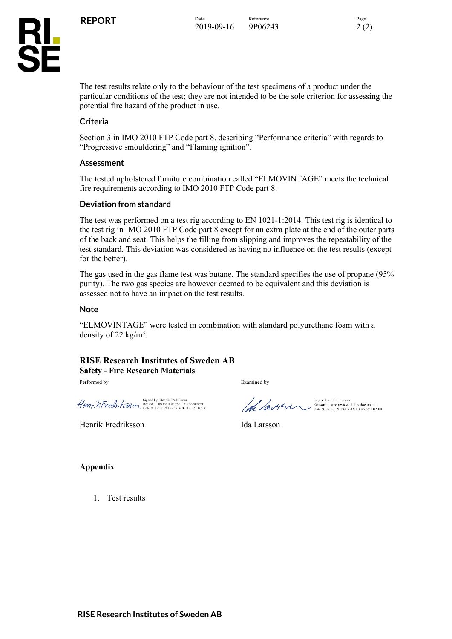

The test results relate only to the behaviour of the test specimens of a product under the particular conditions of the test; they are not intended to be the sole criterion for assessing the potential fire hazard of the product in use.

## **Criteria**

Section 3 in IMO 2010 FTP Code part 8, describing "Performance criteria" with regards to "Progressive smouldering" and "Flaming ignition".

### **Assessment**

The tested upholstered furniture combination called "ELMOVINTAGE" meets the technical fire requirements according to IMO 2010 FTP Code part 8.

### **Deviation from standard**

The test was performed on a test rig according to EN 1021-1:2014. This test rig is identical to the test rig in IMO 2010 FTP Code part 8 except for an extra plate at the end of the outer parts of the back and seat. This helps the filling from slipping and improves the repeatability of the test standard. This deviation was considered as having no influence on the test results (except for the better).

The gas used in the gas flame test was butane. The standard specifies the use of propane (95% purity). The two gas species are however deemed to be equivalent and this deviation is assessed not to have an impact on the test results.

### **Note**

"ELMOVINTAGE" were tested in combination with standard polyurethane foam with a density of 22 kg/m<sup>3</sup>.

### **RISE Research Institutes of Sweden AB Safety - Fire Research Materials**

Performed by Examined by

Signed by: Henrik Fredriksson<br>  $\mathcal{H}$ *ON<sub>F</sub>*,  $k$   $\mathcal{F}$ *Y*  $\mathcal{A}^{1}_{\text{max}}$   $\mathcal{H}$   $\mathcal{H}$   $\mathcal{H}$   $\mathcal{H}$   $\mathcal{H}$   $\mathcal{H}$   $\mathcal{H}$   $\mathcal{H}$   $\mathcal{H}$   $\mathcal{H}$   $\mathcal{H}$   $\mathcal{H}$   $\mathcal{H}$   $\mathcal{H}$   $\mathcal{H}$   $\mathcal{$ 

Henrik Fredriksson Ida Larsson

la Lavern

Signed by: Ida Larsson<br>Reason: I have reviewed this document<br>Date & Time: 2019-09-16 08:46:59 +02:00

**Appendix**

1. Test results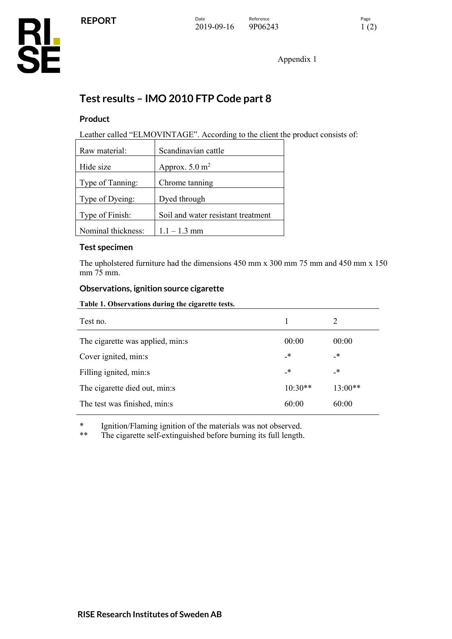Appendix 1

## **Test results – IMO 2010 FTP Code part 8**

## **Product**

Leather called "ELMOVINTAGE". According to the client the product consists of:

| Raw material:      | Scandinavian cattle                |  |
|--------------------|------------------------------------|--|
| Hide size          | Approx. $5.0 \text{ m}^2$          |  |
| Type of Tanning:   | Chrome tanning                     |  |
| Type of Dyeing:    | Dyed through                       |  |
| Type of Finish:    | Soil and water resistant treatment |  |
| Nominal thickness: | $1.1 - 1.3$ mm                     |  |

## **Test specimen**

The upholstered furniture had the dimensions 450 mm x 300 mm 75 mm and 450 mm x 150 mm 75 mm.

## **Observations, ignition source cigarette**

**Table 1. Observations during the cigarette tests.**

| Test no.                         |           | 2          |
|----------------------------------|-----------|------------|
| The cigarette was applied, min:s | 00:00     | 00:00      |
| Cover ignited, min:s             | _*        | $_{\star}$ |
| Filling ignited, min:s           | _*        | _*         |
| The cigarette died out, min:s    | $10:30**$ | $13:00**$  |
| The test was finished, min:s     | 60:00     | 60:00      |

\* Ignition/Flaming ignition of the materials was not observed.

The cigarette self-extinguished before burning its full length.